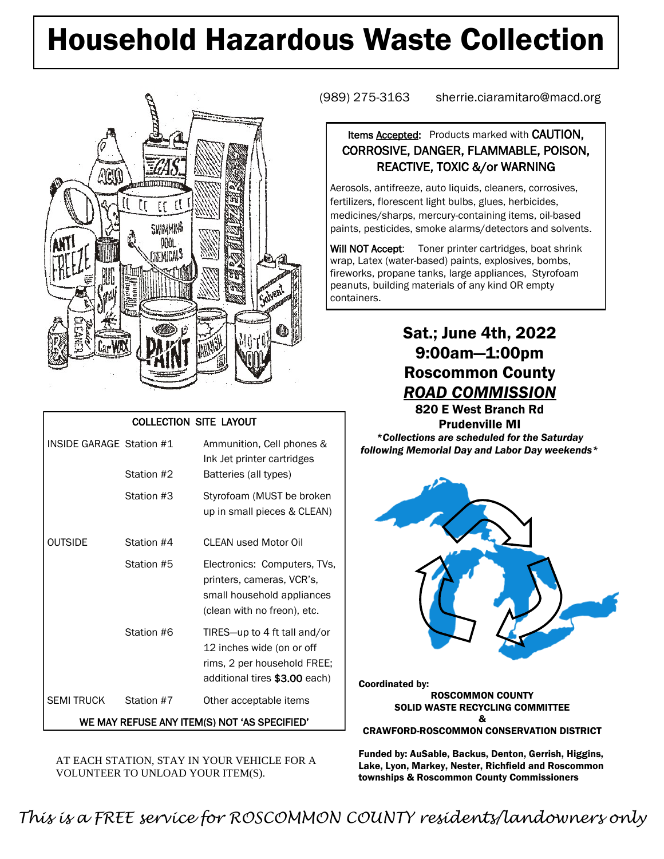# Household Hazardous Waste Collection



#### COLLECTION SITE LAYOUT

| INSIDE GARAGE Station #1                     |            | Ammunition, Cell phones &<br>Ink Jet printer cartridges                                                                   |  |  |  |  |
|----------------------------------------------|------------|---------------------------------------------------------------------------------------------------------------------------|--|--|--|--|
|                                              | Station #2 | Batteries (all types)                                                                                                     |  |  |  |  |
|                                              | Station #3 | Styrofoam (MUST be broken<br>up in small pieces & CLEAN)                                                                  |  |  |  |  |
| <b>OUTSIDE</b>                               | Station #4 | CLEAN used Motor Oil                                                                                                      |  |  |  |  |
|                                              | Station #5 | Electronics: Computers, TVs,<br>printers, cameras, VCR's,<br>small household appliances<br>(clean with no freon), etc.    |  |  |  |  |
|                                              | Station #6 | TIRES-up to 4 ft tall and/or<br>12 inches wide (on or off<br>rims, 2 per household FREE;<br>additional tires \$3.00 each) |  |  |  |  |
| <b>SEMI TRUCK</b>                            | Station #7 | Other acceptable items                                                                                                    |  |  |  |  |
| WE MAY REFUSE ANY ITEM(S) NOT 'AS SPECIFIED' |            |                                                                                                                           |  |  |  |  |

AT EACH STATION, STAY IN YOUR VEHICLE FOR A VOLUNTEER TO UNLOAD YOUR ITEM(S).

(989) 275-3163 sherrie.ciaramitaro@macd.org

### Items **Accepted:** Products marked with **CAUTION**, CORROSIVE, DANGER, FLAMMABLE, POISON, REACTIVE, TOXIC &/or WARNING

Aerosols, antifreeze, auto liquids, cleaners, corrosives, fertilizers, florescent light bulbs, glues, herbicides, medicines/sharps, mercury-containing items, oil-based paints, pesticides, smoke alarms/detectors and solvents.

Will NOT Accept: Toner printer cartridges, boat shrink wrap, Latex (water-based) paints, explosives, bombs, fireworks, propane tanks, large appliances, Styrofoam peanuts, building materials of any kind OR empty containers.

### Sat.; June 4th, 2022 9:00am—1:00pm Roscommon County *ROAD COMMISSION*

820 E West Branch Rd Prudenville MI *\*Collections are scheduled for the Saturday following Memorial Day and Labor Day weekends\**



Coordinated by: ROSCOMMON COUNTY SOLID WASTE RECYCLING COMMITTEE & CRAWFORD-ROSCOMMON CONSERVATION DISTRICT

Funded by: AuSable, Backus, Denton, Gerrish, Higgins, Lake, Lyon, Markey, Nester, Richfield and Roscommon townships & Roscommon County Commissioners

*This is a FREE service for ROSCOMMON COUNTY residents/landowners only*